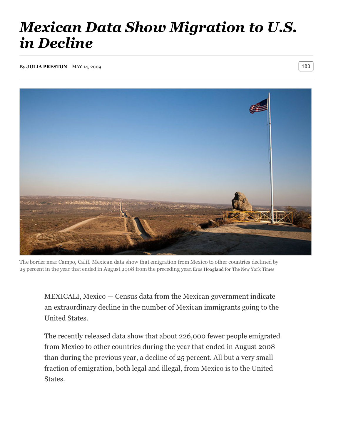## *Mexican Data Show Migration to U.S. in Decline*

By JULIA [PRESTON](https://www.nytimes.com/by/julia-preston) MAY 14, 2009  $\vert$  183



The border near Campo, Calif. Mexican data show that emigration from Mexico to other countries declined by 25 percent in the year that ended in August 2008 from the preceding year.Eros Hoagland for The New York Times

MEXICALI, Mexico — Census data from the Mexican government indicate an extraordinary decline in the number of Mexican immigrants going to the United States.

The recently released data show that about 226,000 fewer people emigrated from Mexico to other countries during the year that ended in August 2008 than during the previous year, a decline of 25 percent. All but a very small fraction of emigration, both legal and illegal, from Mexico is to the United States.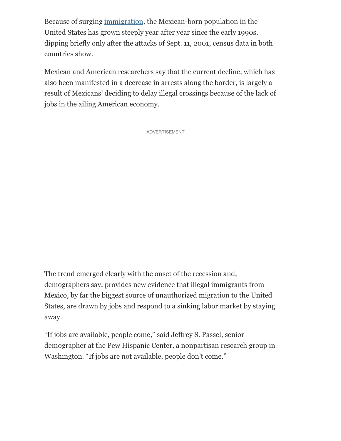Because of surging [immigration,](http://topics.nytimes.com/top/reference/timestopics/subjects/i/immigration_and_refugees/index.html?inline=nyt-classifier) the Mexican-born population in the United States has grown steeply year after year since the early 1990s, dipping briefly only after the attacks of Sept. 11, 2001, census data in both countries show.

Mexican and American researchers say that the current decline, which has also been manifested in a decrease in arrests along the border, is largely a result of Mexicans' deciding to delay illegal crossings because of the lack of jobs in the ailing American economy.

ADVERTISEMENT

The trend emerged clearly with the onset of the recession and, demographers say, provides new evidence that illegal immigrants from Mexico, by far the biggest source of unauthorized migration to the United States, are drawn by jobs and respond to a sinking labor market by staying away.

"If jobs are available, people come," said Jeffrey S. Passel, senior demographer at the Pew Hispanic Center, a nonpartisan research group in Washington. "If jobs are not available, people don't come."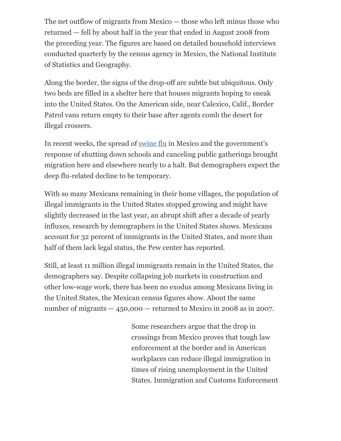The net outflow of migrants from Mexico — those who left minus those who returned — fell by about half in the year that ended in August 2008 from the preceding year. The figures are based on detailed household interviews conducted quarterly by the census agency in Mexico, the National Institute of Statistics and Geography.

Along the border, the signs of the drop-off are subtle but ubiquitous. Only two beds are filled in a shelter here that houses migrants hoping to sneak into the United States. On the American side, near Calexico, Calif., Border Patrol vans return empty to their base after agents comb the desert for illegal crossers.

In recent weeks, the spread of [swine](http://topics.nytimes.com/top/reference/timestopics/subjects/i/influenza/swine_influenza/index.html?inline=nyt-classifier) flu in Mexico and the government's response of shutting down schools and canceling public gatherings brought migration here and elsewhere nearly to a halt. But demographers expect the deep flu-related decline to be temporary.

With so many Mexicans remaining in their home villages, the population of illegal immigrants in the United States stopped growing and might have slightly decreased in the last year, an abrupt shift after a decade of yearly influxes, research by demographers in the United States shows. Mexicans account for 32 percent of immigrants in the United States, and more than half of them lack legal status, the Pew center has reported.

Still, at least 11 million illegal immigrants remain in the United States, the demographers say. Despite collapsing job markets in construction and other low-wage work, there has been no exodus among Mexicans living in the United States, the Mexican census figures show. About the same number of migrants  $-450,000$  – returned to Mexico in 2008 as in 2007.

> Some researchers argue that the drop in crossings from Mexico proves that tough law enforcement at the border and in American workplaces can reduce illegal immigration in times of rising unemployment in the United States. Immigration and Customs Enforcement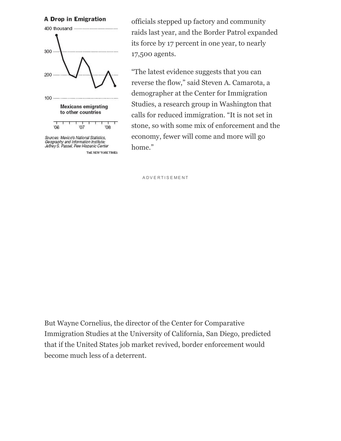A Drop in Emigration



Sources: Mexico's National Statistics, Geography and Information Institute;<br>Jeffrey S. Passel, Pew Hispanic Center

THE NEW YORK TIMES

officials stepped up factory and community raids last year, and the Border Patrol expanded its force by 17 percent in one year, to nearly 17,500 agents.

"The latest evidence suggests that you can reverse the flow," said Steven A. Camarota, a demographer at the Center for Immigration Studies, a research group in Washington that calls for reduced immigration. "It is not set in stone, so with some mix of enforcement and the economy, fewer will come and more will go home."

**ADVERTISEMENT** 

But Wayne Cornelius, the director of the Center for Comparative Immigration Studies at the University of California, San Diego, predicted that if the United States job market revived, border enforcement would become much less of a deterrent.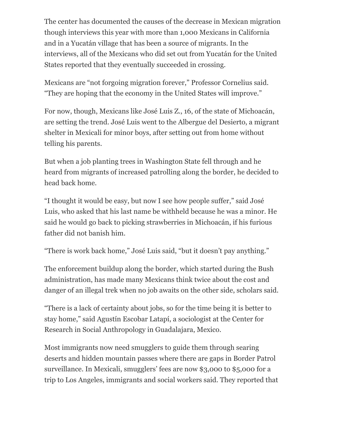The center has documented the causes of the decrease in Mexican migration though interviews this year with more than 1,000 Mexicans in California and in a Yucatán village that has been a source of migrants. In the interviews, all of the Mexicans who did set out from Yucatán for the United States reported that they eventually succeeded in crossing.

Mexicans are "not forgoing migration forever," Professor Cornelius said. "They are hoping that the economy in the United States will improve."

For now, though, Mexicans like José Luis Z., 16, of the state of Michoacán, are setting the trend. José Luis went to the Albergue del Desierto, a migrant shelter in Mexicali for minor boys, after setting out from home without telling his parents.

But when a job planting trees in Washington State fell through and he heard from migrants of increased patrolling along the border, he decided to head back home.

"I thought it would be easy, but now I see how people suffer," said José Luis, who asked that his last name be withheld because he was a minor. He said he would go back to picking strawberries in Michoacán, if his furious father did not banish him.

"There is work back home," José Luis said, "but it doesn't pay anything."

The enforcement buildup along the border, which started during the Bush administration, has made many Mexicans think twice about the cost and danger of an illegal trek when no job awaits on the other side, scholars said.

"There is a lack of certainty about jobs, so for the time being it is better to stay home," said Agustín Escobar Latapí, a sociologist at the Center for Research in Social Anthropology in Guadalajara, Mexico.

Most immigrants now need smugglers to guide them through searing deserts and hidden mountain passes where there are gaps in Border Patrol surveillance. In Mexicali, smugglers' fees are now \$3,000 to \$5,000 for a trip to Los Angeles, immigrants and social workers said. They reported that